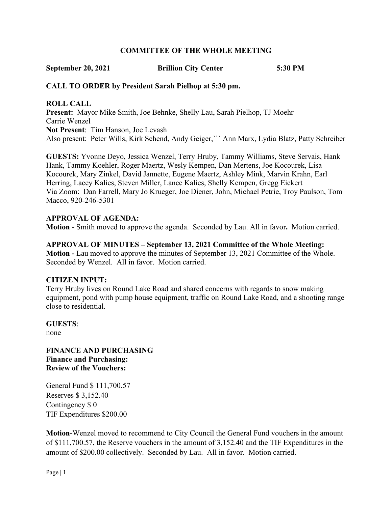#### **COMMITTEE OF THE WHOLE MEETING**

**September 20, 2021 Brillion City Center 5:30 PM**

# **CALL TO ORDER by President Sarah Pielhop at 5:30 pm.**

**ROLL CALL Present:** Mayor Mike Smith, Joe Behnke, Shelly Lau, Sarah Pielhop, TJ Moehr Carrie Wenzel **Not Present**: Tim Hanson, Joe Levash Also present: Peter Wills, Kirk Schend, Andy Geiger,``` Ann Marx, Lydia Blatz, Patty Schreiber

**GUESTS:** Yvonne Deyo, Jessica Wenzel, Terry Hruby, Tammy Williams, Steve Servais, Hank Hank, Tammy Koehler, Roger Maertz, Wesly Kempen, Dan Mertens, Joe Kocourek, Lisa Kocourek, Mary Zinkel, David Jannette, Eugene Maertz, Ashley Mink, Marvin Krahn, Earl Herring, Lacey Kalies, Steven Miller, Lance Kalies, Shelly Kempen, Gregg Eickert Via Zoom: Dan Farrell, Mary Jo Krueger, Joe Diener, John, Michael Petrie, Troy Paulson, Tom Macco, 920-246-5301

## **APPROVAL OF AGENDA:**

**Motion** - Smith moved to approve the agenda. Seconded by Lau. All in favor**.** Motion carried.

#### **APPROVAL OF MINUTES – September 13, 2021 Committee of the Whole Meeting:**

**Motion -** Lau moved to approve the minutes of September 13, 2021 Committee of the Whole. Seconded by Wenzel. All in favor. Motion carried.

#### **CITIZEN INPUT:**

Terry Hruby lives on Round Lake Road and shared concerns with regards to snow making equipment, pond with pump house equipment, traffic on Round Lake Road, and a shooting range close to residential.

#### **GUESTS**:

none

## **FINANCE AND PURCHASING Finance and Purchasing: Review of the Vouchers:**

General Fund \$ 111,700.57 Reserves \$ 3,152.40 Contingency \$ 0 TIF Expenditures \$200.00

**Motion-**Wenzel moved to recommend to City Council the General Fund vouchers in the amount of \$111,700.57, the Reserve vouchers in the amount of 3,152.40 and the TIF Expenditures in the amount of \$200.00 collectively. Seconded by Lau. All in favor. Motion carried.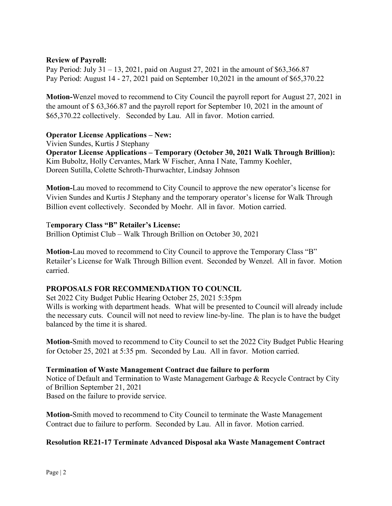## **Review of Payroll:**

Pay Period: July 31 – 13, 2021, paid on August 27, 2021 in the amount of \$63,366.87 Pay Period: August 14 - 27, 2021 paid on September 10,2021 in the amount of \$65,370.22

**Motion-**Wenzel moved to recommend to City Council the payroll report for August 27, 2021 in the amount of \$ 63,366.87 and the payroll report for September 10, 2021 in the amount of \$65,370.22 collectively. Seconded by Lau. All in favor. Motion carried.

## **Operator License Applications – New:**

Vivien Sundes, Kurtis J Stephany

**Operator License Applications – Temporary (October 30, 2021 Walk Through Brillion):** Kim Buboltz, Holly Cervantes, Mark W Fischer, Anna I Nate, Tammy Koehler, Doreen Sutilla, Colette Schroth-Thurwachter, Lindsay Johnson

**Motion-**Lau moved to recommend to City Council to approve the new operator's license for Vivien Sundes and Kurtis J Stephany and the temporary operator's license for Walk Through Billion event collectively. Seconded by Moehr. All in favor. Motion carried.

#### T**emporary Class "B" Retailer's License:**

Brillion Optimist Club – Walk Through Brillion on October 30, 2021

**Motion-**Lau moved to recommend to City Council to approve the Temporary Class "B" Retailer's License for Walk Through Billion event. Seconded by Wenzel. All in favor. Motion carried.

# **PROPOSALS FOR RECOMMENDATION TO COUNCIL**

Set 2022 City Budget Public Hearing October 25, 2021 5:35pm

Wills is working with department heads. What will be presented to Council will already include the necessary cuts. Council will not need to review line-by-line. The plan is to have the budget balanced by the time it is shared.

**Motion-**Smith moved to recommend to City Council to set the 2022 City Budget Public Hearing for October 25, 2021 at 5:35 pm. Seconded by Lau. All in favor. Motion carried.

#### **Termination of Waste Management Contract due failure to perform**

Notice of Default and Termination to Waste Management Garbage & Recycle Contract by City of Brillion September 21, 2021

Based on the failure to provide service.

**Motion-**Smith moved to recommend to City Council to terminate the Waste Management Contract due to failure to perform. Seconded by Lau. All in favor. Motion carried.

#### **Resolution RE21-17 Terminate Advanced Disposal aka Waste Management Contract**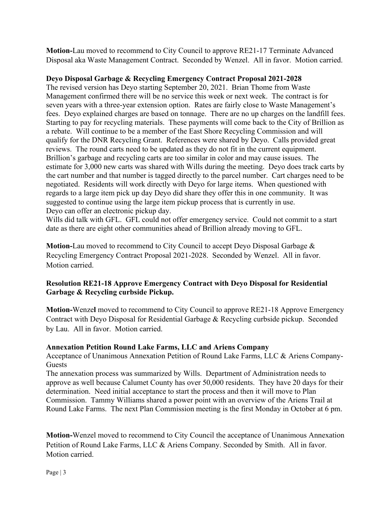**Motion-**Lau moved to recommend to City Council to approve RE21-17 Terminate Advanced Disposal aka Waste Management Contract. Seconded by Wenzel. All in favor. Motion carried.

## **Deyo Disposal Garbage & Recycling Emergency Contract Proposal 2021-2028**

The revised version has Deyo starting September 20, 2021. Brian Thome from Waste Management confirmed there will be no service this week or next week. The contract is for seven years with a three-year extension option. Rates are fairly close to Waste Management's fees. Deyo explained charges are based on tonnage. There are no up charges on the landfill fees. Starting to pay for recycling materials. These payments will come back to the City of Brillion as a rebate. Will continue to be a member of the East Shore Recycling Commission and will qualify for the DNR Recycling Grant. References were shared by Deyo. Calls provided great reviews. The round carts need to be updated as they do not fit in the current equipment. Brillion's garbage and recycling carts are too similar in color and may cause issues. The estimate for 3,000 new carts was shared with Wills during the meeting. Deyo does track carts by the cart number and that number is tagged directly to the parcel number. Cart charges need to be negotiated. Residents will work directly with Deyo for large items. When questioned with regards to a large item pick up day Deyo did share they offer this in one community. It was suggested to continue using the large item pickup process that is currently in use. Deyo can offer an electronic pickup day.

Wills did talk with GFL. GFL could not offer emergency service. Could not commit to a start date as there are eight other communities ahead of Brillion already moving to GFL.

**Motion-**Lau moved to recommend to City Council to accept Deyo Disposal Garbage & Recycling Emergency Contract Proposal 2021-2028. Seconded by Wenzel. All in favor. Motion carried.

## **Resolution RE21-18 Approve Emergency Contract with Deyo Disposal for Residential Garbage & Recycling curbside Pickup.**

**Motion-**Wenze**l** moved to recommend to City Council to approve RE21-18 Approve Emergency Contract with Deyo Disposal for Residential Garbage & Recycling curbside pickup. Seconded by Lau. All in favor. Motion carried.

#### **Annexation Petition Round Lake Farms, LLC and Ariens Company**

Acceptance of Unanimous Annexation Petition of Round Lake Farms, LLC & Ariens Company-**Guests** 

The annexation process was summarized by Wills. Department of Administration needs to approve as well because Calumet County has over 50,000 residents. They have 20 days for their determination. Need initial acceptance to start the process and then it will move to Plan Commission. Tammy Williams shared a power point with an overview of the Ariens Trail at Round Lake Farms. The next Plan Commission meeting is the first Monday in October at 6 pm.

**Motion-**Wenzel moved to recommend to City Council the acceptance of Unanimous Annexation Petition of Round Lake Farms, LLC & Ariens Company. Seconded by Smith. All in favor. Motion carried.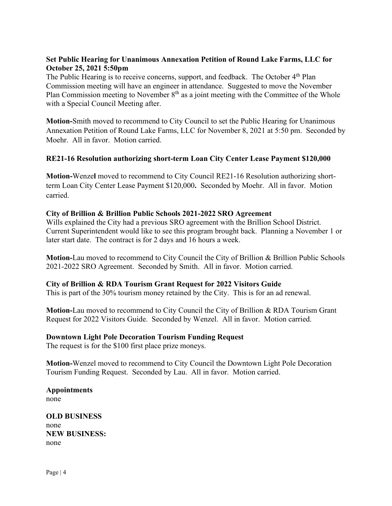# **Set Public Hearing for Unanimous Annexation Petition of Round Lake Farms, LLC for October 25, 2021 5:50pm**

The Public Hearing is to receive concerns, support, and feedback. The October  $4<sup>th</sup>$  Plan Commission meeting will have an engineer in attendance. Suggested to move the November Plan Commission meeting to November  $8<sup>th</sup>$  as a joint meeting with the Committee of the Whole with a Special Council Meeting after.

**Motion-**Smith moved to recommend to City Council to set the Public Hearing for Unanimous Annexation Petition of Round Lake Farms, LLC for November 8, 2021 at 5:50 pm. Seconded by Moehr. All in favor. Motion carried.

## **RE21-16 Resolution authorizing short-term Loan City Center Lease Payment \$120,000**

**Motion-**Wenze**l** moved to recommend to City Council RE21-16 Resolution authorizing shortterm Loan City Center Lease Payment \$120,000**.** Seconded by Moehr. All in favor. Motion carried.

#### **City of Brillion & Brillion Public Schools 2021-2022 SRO Agreement**

Wills explained the City had a previous SRO agreement with the Brillion School District. Current Superintendent would like to see this program brought back. Planning a November 1 or later start date. The contract is for 2 days and 16 hours a week.

**Motion-**Lau moved to recommend to City Council the City of Brillion & Brillion Public Schools 2021-2022 SRO Agreement. Seconded by Smith. All in favor. Motion carried.

#### **City of Brillion & RDA Tourism Grant Request for 2022 Visitors Guide**

This is part of the 30% tourism money retained by the City. This is for an ad renewal.

**Motion-**Lau moved to recommend to City Council the City of Brillion & RDA Tourism Grant Request for 2022 Visitors Guide. Seconded by Wenzel. All in favor. Motion carried.

#### **Downtown Light Pole Decoration Tourism Funding Request**

The request is for the \$100 first place prize moneys.

**Motion-**Wenzel moved to recommend to City Council the Downtown Light Pole Decoration Tourism Funding Request. Seconded by Lau. All in favor. Motion carried.

**Appointments** none **OLD BUSINESS**

none **NEW BUSINESS:** none